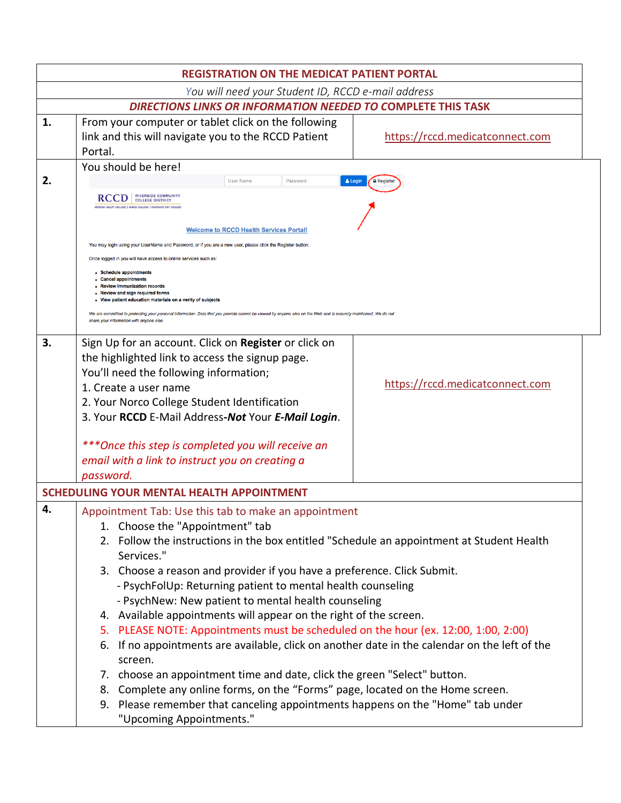|    | <b>REGISTRATION ON THE MEDICAT PATIENT PORTAL</b>                                                                                                                                                            |  |
|----|--------------------------------------------------------------------------------------------------------------------------------------------------------------------------------------------------------------|--|
|    | You will need your Student ID, RCCD e-mail address                                                                                                                                                           |  |
|    | DIRECTIONS LINKS OR INFORMATION NEEDED TO COMPLETE THIS TASK                                                                                                                                                 |  |
| 1. | From your computer or tablet click on the following<br>link and this will navigate you to the RCCD Patient<br>https://rccd.medicatconnect.com<br>Portal.                                                     |  |
|    | You should be here!                                                                                                                                                                                          |  |
| 2. | <b>User Name</b><br>Password<br>& Logir<br><b>≙</b> Registe<br>RIVERSIDE COMMUNITY<br>COLLEGE DISTRICT<br><b>RCCD</b><br>RENO VALLEY COLLEGE   NORCO COLLEGE   RIVERSIDE CITY COLLEGE                        |  |
|    | <b>Welcome to RCCD Health Services Portal!</b>                                                                                                                                                               |  |
|    | You may login using your UserName and Password, or if you are a new user, please click the Register button.                                                                                                  |  |
|    | Once logged in you will have access to online services such as:                                                                                                                                              |  |
|    | • Schedule appointments<br>• Cancel appointments<br>• Review Immunization records<br>• Review and sign required forms<br>• View patient education materials on a verity of subjects                          |  |
|    | We are committed to protecting your personal information. Data that you provide cannot be viewed by anyone else on the Web and is securely maintained. We do not<br>share your information with anyone else. |  |
| 3. | Sign Up for an account. Click on Register or click on                                                                                                                                                        |  |
|    | the highlighted link to access the signup page.                                                                                                                                                              |  |
|    | You'll need the following information;                                                                                                                                                                       |  |
|    | https://rccd.medicatconnect.com<br>1. Create a user name                                                                                                                                                     |  |
|    | 2. Your Norco College Student Identification                                                                                                                                                                 |  |
|    | 3. Your RCCD E-Mail Address-Not Your E-Mail Login.                                                                                                                                                           |  |
|    | *** Once this step is completed you will receive an                                                                                                                                                          |  |
|    | email with a link to instruct you on creating a                                                                                                                                                              |  |
|    | password.                                                                                                                                                                                                    |  |
|    | <b>SCHEDULING YOUR MENTAL HEALTH APPOINTMENT</b>                                                                                                                                                             |  |
| 4. | Appointment Tab: Use this tab to make an appointment                                                                                                                                                         |  |
|    | 1. Choose the "Appointment" tab                                                                                                                                                                              |  |
|    | 2. Follow the instructions in the box entitled "Schedule an appointment at Student Health<br>Services."                                                                                                      |  |
|    | 3. Choose a reason and provider if you have a preference. Click Submit.                                                                                                                                      |  |
|    | - PsychFolUp: Returning patient to mental health counseling                                                                                                                                                  |  |
|    | - PsychNew: New patient to mental health counseling                                                                                                                                                          |  |
|    | 4. Available appointments will appear on the right of the screen.                                                                                                                                            |  |
|    | 5. PLEASE NOTE: Appointments must be scheduled on the hour (ex. 12:00, 1:00, 2:00)                                                                                                                           |  |
|    | 6. If no appointments are available, click on another date in the calendar on the left of the                                                                                                                |  |
|    | screen.                                                                                                                                                                                                      |  |
|    | 7. choose an appointment time and date, click the green "Select" button.                                                                                                                                     |  |
|    | Complete any online forms, on the "Forms" page, located on the Home screen.<br>8.                                                                                                                            |  |
|    | 9. Please remember that canceling appointments happens on the "Home" tab under                                                                                                                               |  |
|    | "Upcoming Appointments."                                                                                                                                                                                     |  |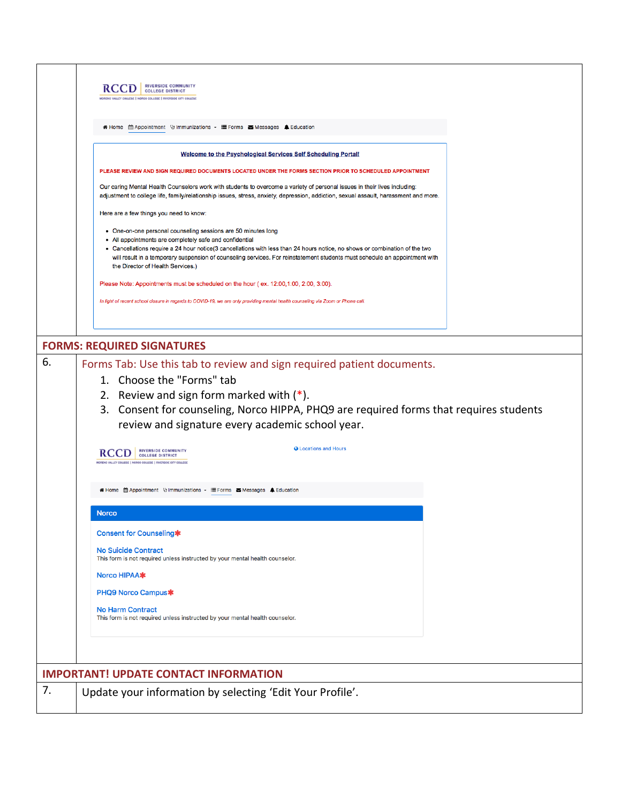|    | <b>RIVERSIDE COMMUNITY</b><br><b>COLLEGE DISTRICT</b>                                                                                                                                                                                                                                                                                                                                                                      |  |
|----|----------------------------------------------------------------------------------------------------------------------------------------------------------------------------------------------------------------------------------------------------------------------------------------------------------------------------------------------------------------------------------------------------------------------------|--|
|    | MORENO VALLEY COLLEGE   NORCO COLLEGE   RIVERSIDE CITY COLLEGE                                                                                                                                                                                                                                                                                                                                                             |  |
|    |                                                                                                                                                                                                                                                                                                                                                                                                                            |  |
|    | Welcome to the Psychological Services Self Scheduling Portal!                                                                                                                                                                                                                                                                                                                                                              |  |
|    | PLEASE REVIEW AND SIGN REQUIRED DOCUMENTS LOCATED UNDER THE FORMS SECTION PRIOR TO SCHEDULED APPOINTMENT                                                                                                                                                                                                                                                                                                                   |  |
|    | Our caring Mental Health Counselors work with students to overcome a variety of personal issues in their lives including:<br>adjustment to college life, family/relationship issues, stress, anxiety, depression, addiction, sexual assault, harassment and more.                                                                                                                                                          |  |
|    | Here are a few things you need to know:                                                                                                                                                                                                                                                                                                                                                                                    |  |
|    | • One-on-one personal counseling sessions are 50 minutes long<br>• All appointments are completely safe and confidential<br>• Cancellations require a 24 hour notice(3 cancellations with less than 24 hours notice, no shows or combination of the two<br>will result in a temporary suspension of counseling services. For reinstatement students must schedule an appointment with<br>the Director of Health Services.) |  |
|    | Please Note: Appointments must be scheduled on the hour (ex. 12:00,1:00, 2:00, 3:00).                                                                                                                                                                                                                                                                                                                                      |  |
|    | In light of recent school closure in regards to COVID-19, we are only providing mental health counseling via Zoom or Phone call.                                                                                                                                                                                                                                                                                           |  |
|    |                                                                                                                                                                                                                                                                                                                                                                                                                            |  |
|    | <b>FORMS: REQUIRED SIGNATURES</b>                                                                                                                                                                                                                                                                                                                                                                                          |  |
| 6. | Forms Tab: Use this tab to review and sign required patient documents.<br>1. Choose the "Forms" tab<br>2. Review and sign form marked with $(*)$ .<br>Consent for counseling, Norco HIPPA, PHQ9 are required forms that requires students<br>3.<br>review and signature every academic school year.                                                                                                                        |  |
|    | <b>Q</b> Locations and Hours<br><b>RIVERSIDE COMMUNITY</b><br>RCCD<br><b>COLLEGE DISTRICT</b><br>ORENO VALLEY COLLEGE   NORCO COLLEGE   RIVERSIDE CITY COLLEGE                                                                                                                                                                                                                                                             |  |
|    |                                                                                                                                                                                                                                                                                                                                                                                                                            |  |
|    | <b>Norco</b>                                                                                                                                                                                                                                                                                                                                                                                                               |  |
|    | Consent for Counseling*                                                                                                                                                                                                                                                                                                                                                                                                    |  |
|    | <b>No Suicide Contract</b><br>This form is not required unless instructed by your mental health counselor.                                                                                                                                                                                                                                                                                                                 |  |
|    | Norco HIPAA*                                                                                                                                                                                                                                                                                                                                                                                                               |  |
|    | PHQ9 Norco Campus*                                                                                                                                                                                                                                                                                                                                                                                                         |  |
|    | <b>No Harm Contract</b><br>This form is not required unless instructed by your mental health counselor.                                                                                                                                                                                                                                                                                                                    |  |
|    |                                                                                                                                                                                                                                                                                                                                                                                                                            |  |
|    | <b>IMPORTANT! UPDATE CONTACT INFORMATION</b>                                                                                                                                                                                                                                                                                                                                                                               |  |
| 7. | Update your information by selecting 'Edit Your Profile'.                                                                                                                                                                                                                                                                                                                                                                  |  |
|    |                                                                                                                                                                                                                                                                                                                                                                                                                            |  |